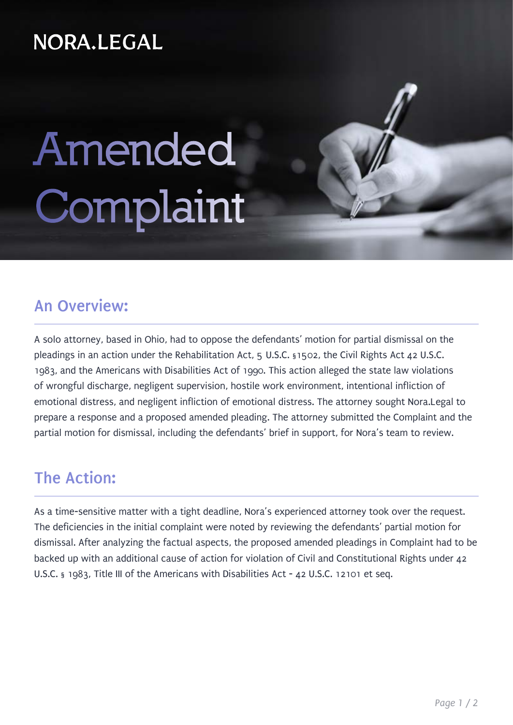### NORA.LEGAL

# **Amended Complaint**

#### **An Overview:**

A solo attorney, based in Ohio, had to oppose the defendants' motion for partial dismissal on the pleadings in an action under the Rehabilitation Act, 5 U.S.C. §1502, the Civil Rights Act 42 U.S.C. 1983, and the Americans with Disabilities Act of 1990. This action alleged the state law violations of wrongful discharge, negligent supervision, hostile work environment, intentional infliction of emotional distress, and negligent infliction of emotional distress. The attorney sought Nora.Legal to prepare a response and a proposed amended pleading. The attorney submitted the Complaint and the partial motion for dismissal, including the defendants' brief in support, for Nora's team to review.

#### **The Action:**

As a time-sensitive matter with a tight deadline, Nora's experienced attorney took over the request. The deficiencies in the initial complaint were noted by reviewing the defendants' partial motion for dismissal. After analyzing the factual aspects, the proposed amended pleadings in Complaint had to be backed up with an additional cause of action for violation of Civil and Constitutional Rights under 42 U.S.C. § 1983, Title III of the Americans with Disabilities Act - 42 U.S.C. 12101 et seq.